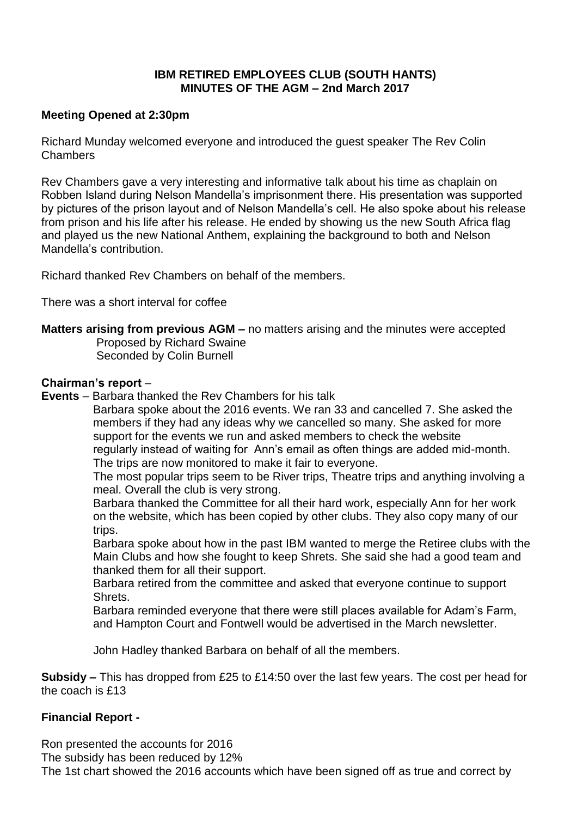## **IBM RETIRED EMPLOYEES CLUB (SOUTH HANTS) MINUTES OF THE AGM – 2nd March 2017**

## **Meeting Opened at 2:30pm**

Richard Munday welcomed everyone and introduced the guest speaker The Rev Colin Chambers

Rev Chambers gave a very interesting and informative talk about his time as chaplain on Robben Island during Nelson Mandella's imprisonment there. His presentation was supported by pictures of the prison layout and of Nelson Mandella's cell. He also spoke about his release from prison and his life after his release. He ended by showing us the new South Africa flag and played us the new National Anthem, explaining the background to both and Nelson Mandella's contribution.

Richard thanked Rev Chambers on behalf of the members.

There was a short interval for coffee

**Matters arising from previous AGM –** no matters arising and the minutes were accepted Proposed by Richard Swaine

Seconded by Colin Burnell

## **Chairman's report** –

**Events** – Barbara thanked the Rev Chambers for his talk

 Barbara spoke about the 2016 events. We ran 33 and cancelled 7. She asked the members if they had any ideas why we cancelled so many. She asked for more support for the events we run and asked members to check the website regularly instead of waiting for Ann's email as often things are added mid-month. The trips are now monitored to make it fair to everyone.

 The most popular trips seem to be River trips, Theatre trips and anything involving a meal. Overall the club is very strong.

 Barbara thanked the Committee for all their hard work, especially Ann for her work on the website, which has been copied by other clubs. They also copy many of our trips.

 Barbara spoke about how in the past IBM wanted to merge the Retiree clubs with the Main Clubs and how she fought to keep Shrets. She said she had a good team and thanked them for all their support.

 Barbara retired from the committee and asked that everyone continue to support Shrets.

 Barbara reminded everyone that there were still places available for Adam's Farm, and Hampton Court and Fontwell would be advertised in the March newsletter.

John Hadley thanked Barbara on behalf of all the members.

**Subsidy –** This has dropped from £25 to £14:50 over the last few years. The cost per head for the coach is £13

# **Financial Report -**

Ron presented the accounts for 2016

The subsidy has been reduced by 12%

The 1st chart showed the 2016 accounts which have been signed off as true and correct by